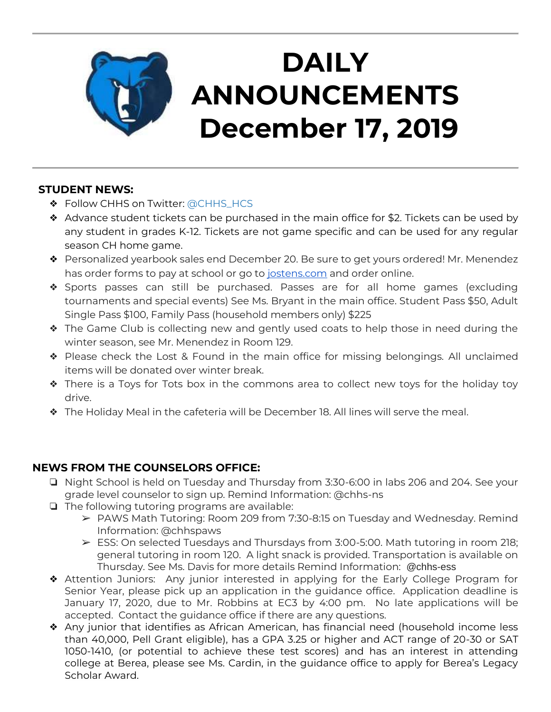

## **STUDENT NEWS:**

- ❖ Follow CHHS on Twitter: [@CHHS\\_HCS](https://twitter.com/CHHS_HCS)
- ❖ Advance student tickets can be purchased in the main office for \$2. Tickets can be used by any student in grades K-12. Tickets are not game specific and can be used for any regular season CH home game.
- ❖ Personalized yearbook sales end December 20. Be sure to get yours ordered! Mr. Menendez has order forms to pay at school or go to [jostens.com](http://jostens.com/) and order online.
- ❖ Sports passes can still be purchased. Passes are for all home games (excluding tournaments and special events) See Ms. Bryant in the main office. Student Pass \$50, Adult Single Pass \$100, Family Pass (household members only) \$225
- ❖ The Game Club is collecting new and gently used coats to help those in need during the winter season, see Mr. Menendez in Room 129.
- ❖ Please check the Lost & Found in the main office for missing belongings. All unclaimed items will be donated over winter break.
- ❖ There is a Toys for Tots box in the commons area to collect new toys for the holiday toy drive.
- ❖ The Holiday Meal in the cafeteria will be December 18. All lines will serve the meal.

# **NEWS FROM THE COUNSELORS OFFICE:**

- ❏ Night School is held on Tuesday and Thursday from 3:30-6:00 in labs 206 and 204. See your grade level counselor to sign up. Remind Information: @chhs-ns
- ❏ The following tutoring programs are available:
	- ➢ PAWS Math Tutoring: Room 209 from 7:30-8:15 on Tuesday and Wednesday. Remind Information: @chhspaws
	- $\triangleright$  ESS: On selected Tuesdays and Thursdays from 3:00-5:00. Math tutoring in room 218; general tutoring in room 120. A light snack is provided. Transportation is available on Thursday. See Ms. Davis for more details Remind Information: @chhs-ess
- ❖ Attention Juniors: Any junior interested in applying for the Early College Program for Senior Year, please pick up an application in the guidance office. Application deadline is January 17, 2020, due to Mr. Robbins at EC3 by 4:00 pm. No late applications will be accepted. Contact the guidance office if there are any questions.
- ❖ Any junior that identifies as African American, has financial need (household income less than 40,000, Pell Grant eligible), has a GPA 3.25 or higher and ACT range of 20-30 or SAT 1050-1410, (or potential to achieve these test scores) and has an interest in attending college at Berea, please see Ms. Cardin, in the guidance office to apply for Berea's Legacy Scholar Award.